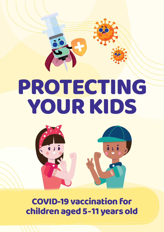# PROTECTING **YOUR KIDS**



COVID-19 vaccination for children aged 5 - 11 years old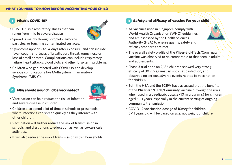#### What is COVID-19? 1



range from mild to severe disease. • Spread is mainly through droplets, airborne particles, or touching contaminated surfaces.

• COVID-19 is a respiratory illness that can

- Symptoms appear 2 to 14 days after exposure, and can include fever, cough, shortness of breath, sore throat, runny nose or loss of smell or taste. Complications can include respiratory failure, heart attacks, blood clots and other long-term problems.
- Children who get infected with COVID-19 can develop serious complications like Multisystem Inflammatory Syndrome (MIS-C).

#### Why should your child be vaccinated? 2



- Vaccination can help reduce the risk of infection and severe disease in children.
- Children also spend a lot of time in schools or preschools where infections can spread quickly as they interact with other children.
- Vaccination will further reduce the risk of transmission in schools, and disruptions to education as well as co-curricular activities.
- It will also reduce the risk of transmission within households.

# 3 Safety and efficacy of vaccine for your child

- All vaccines used in Singapore comply with World Health Organisation (WHO) guidelines, and are assessed by the Health Sciences Authority (HSA) to ensure quality, safety and efficacy standards are met.
- The overall safety profile of the Pfizer-BioNTech/Comirnaty vaccine was observed to be comparable to that seen in adults and adolescents.
- Phase 3 trial done on 2,186 children showed very strong efficacy of 90.7% against symptomatic infection, and observed no serious adverse events related to vaccination for children.
- Both the HSA and the EC19V have assessed that the benefits of the Pfizer-BioNTech/Comirnaty vaccine outweigh the risks when used in a paediatric dosage (10 micrograms) for children aged 5–11 years, especially in the current setting of ongoing community transmission.
- COVID-19 vaccination dosage of 10mcg for children 5–11 years old will be based on age, not weight of children.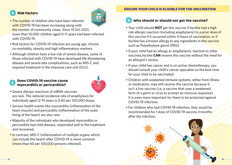### **Risk Factors**

- The number of children who have been infected with COVID-19 has been increasing along with the number of community cases. Since 15 Oct 2021, more than 10,000 children aged 0–11 years had been infected with COVID-19.
- Risk factors for COVID-19 infection are young age, chronic co-morbidity, obesity and high inflammatory markers.
- Although children have a low risk of severe disease, some of those infected with COVID-19 have developed life-threatening disease and severe late complications, such as MIS-C and required treatment in the intensive care unit (ICU).

### Does COVID-19 vaccine cause myocarditis or pericarditis? <sup>5</sup>



- Severe allergic reactions of mRNA vaccines are rare. The national incidence rate of anaphylaxis for individuals aged 12-19 years is 0.40 per 100,000 doses.
- Serious health events like myocarditis (inflammation of the heart muscle) and pericarditis (inflammation of the outer lining of the heart) are also rare.
- Majority of the individuals who developed myocarditis or pericarditis had mild disease, responded well to the treatment and recovered.
- In contrast, MIS-C (inflammation of multiple organs which can include the heart) after COVID-19 is more common (more than 60 per 100,000 persons infected).

#### ENSURE YOUR CHILD IS ELIGIBLE FOR THE VACCINATION

# 6 Who should or should not get the vaccine?

- Your child should **NOT** get this vaccine if he/she had a high risk allergic reaction (including anaphylaxis) to a prior dose of this vaccine if it occurred within 4 hours of vaccination, or if he/she has a known allergy to any ingredients in this vaccine such as Polyethylene glycol (PEG).
- If your child had an allergy or anaphylactic reaction to other vaccines,he/she **CAN** receive this vaccine without the need for an allergist's review.
- If your child has cancer and is on active chemotherapy, you should consult your child's cancer specialist on the best time for your child to be vaccinated.
- Children with weakened immune systems, either from illness or medication, may still receive the vaccine because it isn't a live vaccine (i.e. a vaccine that uses a weakened form of a germ or virus to prompt an immune response). It is even more important for them to be protected against COVID-19 infection.
- For children who had COVID-19 infection, they would be recommended for 1 dose of COVID-19 vaccine 3 months after the infection.

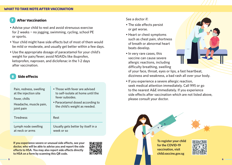## **After Vaccination**

- Advise your child to rest and avoid strenuous exercise for 2 weeks − no jogging, swimming, cycling, school PE or sports.
- Your child might have side effects but of most of them would be mild or moderate, and usually get better within a few days.
- Use the appropriate dosage of paracetamol for your child's weight for pain/fever; avoid NSAIDs like ibuprofen, ketoprofen, naproxen, and diclofenac in the 1-2 days after vaccination.

## Side effects

| Pain, redness, swelling | • Those with fever are advised     |
|-------------------------|------------------------------------|
| at the injection site   | to self-isolate at home until the  |
| Fever, chills           | fever subsides.                    |
| Headache, muscle pain,  | • Paracetamol dosed according to   |
| joint pain              | the child's weight as needed.      |
| <b>Tiredness</b>        | Rest                               |
| Lymph node swelling     | Usually gets better by itself in a |
| at neck or arms         | week or so                         |

**If you experience severe or unusual side effects, see your doctor, who will be able to advise you and report the side effects to HSA. You may also report side effects directly to HSA on a form by scanning this QR code.** 



#### See a doctor if:

- The side effects persist or get worse.
- Heart or chest symptoms such as chest pain, shortness of breath or abnormal heart beats develop.
- In very rare cases, this vaccine can cause severe allergic reactions, including difficulty breathing, swelling



of your face, throat, eyes or lips, a fast heartbeat, dizziness and weakness, a bad rash all over your body.

• If you experience a severe allergic reaction, seek medical attention immediately. Call 995 or go to the nearest A&E immediately. If you experience side effects after vaccination which are not listed above, please consult your doctor.